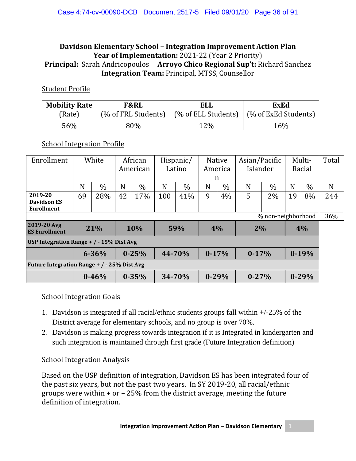### **Davidson Elementary School – Integration Improvement Action Plan Year of Implementation:** 2021-22 (Year 2 Priority) **Principal:** Sarah Andricopoulos **Arroyo Chico Regional Sup't:** Richard Sanchez **Integration Team:** Principal, MTSS, Counsellor

### Student Profile

| <b>Mobility Rate</b> | F&RL | ELL                                                              | <b>ExEd</b> |  |  |  |
|----------------------|------|------------------------------------------------------------------|-------------|--|--|--|
| (Rate)               |      | (% of FRL Students)   (% of ELL Students)   (% of ExEd Students) |             |  |  |  |
| 56%                  | 80%  | 12%                                                              | 16%         |  |  |  |

### **School Integration Profile**

| Enrollment                                   | White |           | African   |           | Hispanic/ |        | <b>Native</b> |           | Asian/Pacific |      | Multi-  |           | Total |
|----------------------------------------------|-------|-----------|-----------|-----------|-----------|--------|---------------|-----------|---------------|------|---------|-----------|-------|
|                                              |       |           | American  |           | Latino    |        | America       |           | Islander      |      | Racial  |           |       |
|                                              |       |           |           |           |           |        | n             |           |               |      |         |           |       |
|                                              | N     | $\%$      | N         | $\%$      | N         | $\%$   | N             | $\%$      | N             | $\%$ | N       | $\%$      | N     |
| 2019-20<br>Davidson ES<br>Enrollment         | 69    | 28%       | 42        | 17%       | 100       | 41%    | 9             | 4%        | 5             | 2%   | 19      | 8%        | 244   |
| % non-neighborhood                           |       |           |           |           |           |        |               |           |               |      |         |           | 36%   |
| 2019-20 Avg<br><b>ES Enrollment</b>          | 21%   |           | 10%       |           | 59%       |        | 4%            |           | 2%            |      | 4%      |           |       |
| USP Integration Range $+$ / $-$ 15% Dist Avg |       |           |           |           |           |        |               |           |               |      |         |           |       |
|                                              |       | $6 - 36%$ | $0 - 25%$ |           | 44-70%    |        | $0-17%$       |           | $0-17%$       |      | $0-19%$ |           |       |
| Future Integration Range + / - 25% Dist Avg  |       |           |           |           |           |        |               |           |               |      |         |           |       |
|                                              |       | $0 - 46%$ |           | $0 - 35%$ |           | 34-70% |               | $0 - 29%$ | $0 - 27%$     |      |         | $0 - 29%$ |       |

### School Integration Goals

- 1. Davidson is integrated if all racial/ethnic students groups fall within +/-25% of the District average for elementary schools, and no group is over 70%.
- 2. Davidson is making progress towards integration if it is Integrated in kindergarten and such integration is maintained through first grade (Future Integration definition)

### School Integration Analysis

Based on the USP definition of integration, Davidson ES has been integrated four of the past six years, but not the past two years. In SY 2019-20, all racial/ethnic groups were within + or – 25% from the district average, meeting the future definition of integration.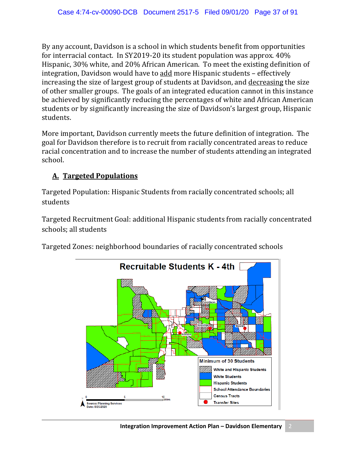By any account, Davidson is a school in which students benefit from opportunities for interracial contact. In SY2019-20 its student population was approx. 40% Hispanic, 30% white, and 20% African American. To meet the existing definition of integration, Davidson would have to add more Hispanic students – effectively increasing the size of largest group of students at Davidson, and decreasing the size of other smaller groups. The goals of an integrated education cannot in this instance be achieved by significantly reducing the percentages of white and African American students or by significantly increasing the size of Davidson's largest group, Hispanic students.

More important, Davidson currently meets the future definition of integration. The goal for Davidson therefore is to recruit from racially concentrated areas to reduce racial concentration and to increase the number of students attending an integrated school.

## **A. Targeted Populations**

Targeted Population: Hispanic Students from racially concentrated schools; all students

Targeted Recruitment Goal: additional Hispanic students from racially concentrated schools; all students



Targeted Zones: neighborhood boundaries of racially concentrated schools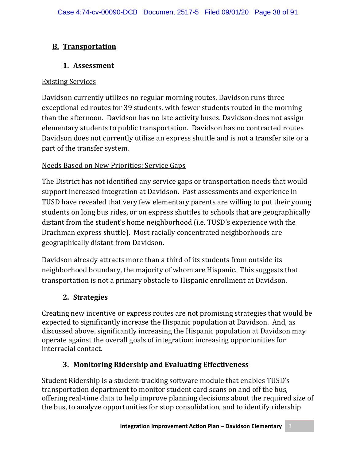# **B. Transportation**

# **1. Assessment**

## Existing Services

Davidson currently utilizes no regular morning routes. Davidson runs three exceptional ed routes for 39 students, with fewer students routed in the morning than the afternoon. Davidson has no late activity buses. Davidson does not assign elementary students to public transportation. Davidson has no contracted routes Davidson does not currently utilize an express shuttle and is not a transfer site or a part of the transfer system.

# Needs Based on New Priorities; Service Gaps

The District has not identified any service gaps or transportation needs that would support increased integration at Davidson. Past assessments and experience in TUSD have revealed that very few elementary parents are willing to put their young students on long bus rides, or on express shuttles to schools that are geographically distant from the student's home neighborhood (i.e. TUSD's experience with the Drachman express shuttle). Most racially concentrated neighborhoods are geographically distant from Davidson.

Davidson already attracts more than a third of its students from outside its neighborhood boundary, the majority of whom are Hispanic. This suggests that transportation is not a primary obstacle to Hispanic enrollment at Davidson.

# **2. Strategies**

Creating new incentive or express routes are not promising strategies that would be expected to significantly increase the Hispanic population at Davidson. And, as discussed above, significantly increasing the Hispanic population at Davidson may operate against the overall goals of integration: increasing opportunities for interracial contact.

# **3. Monitoring Ridership and Evaluating Effectiveness**

Student Ridership is a student-tracking software module that enables TUSD's transportation department to monitor student card scans on and off the bus, offering real-time data to help improve planning decisions about the required size of the bus, to analyze opportunities for stop consolidation, and to identify ridership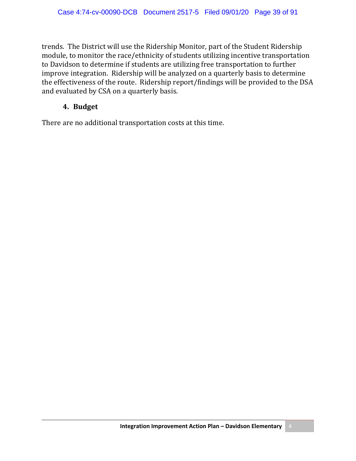trends. The District will use the Ridership Monitor, part of the Student Ridership module, to monitor the race/ethnicity of students utilizing incentive transportation to Davidson to determine if students are utilizing free transportation to further improve integration. Ridership will be analyzed on a quarterly basis to determine the effectiveness of the route. Ridership report/findings will be provided to the DSA and evaluated by CSA on a quarterly basis.

### **4. Budget**

There are no additional transportation costs at this time.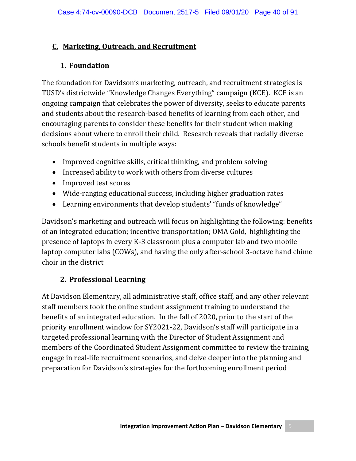### **C. Marketing, Outreach, and Recruitment**

### **1. Foundation**

The foundation for Davidson's marketing, outreach, and recruitment strategies is TUSD's districtwide "Knowledge Changes Everything" campaign (KCE). KCE is an ongoing campaign that celebrates the power of diversity, seeks to educate parents and students about the research-based benefits of learning from each other, and encouraging parents to consider these benefits for their student when making decisions about where to enroll their child. Research reveals that racially diverse schools benefit students in multiple ways:

- Improved cognitive skills, critical thinking, and problem solving
- Increased ability to work with others from diverse cultures
- Improved test scores
- Wide-ranging educational success, including higher graduation rates
- Learning environments that develop students' "funds of knowledge"

Davidson's marketing and outreach will focus on highlighting the following: benefits of an integrated education; incentive transportation; OMA Gold, highlighting the presence of laptops in every K-3 classroom plus a computer lab and two mobile laptop computer labs (COWs), and having the only after-school 3-octave hand chime choir in the district

# **2. Professional Learning**

At Davidson Elementary, all administrative staff, office staff, and any other relevant staff members took the online student assignment training to understand the benefits of an integrated education. In the fall of 2020, prior to the start of the priority enrollment window for SY2021-22, Davidson's staff will participate in a targeted professional learning with the Director of Student Assignment and members of the Coordinated Student Assignment committee to review the training, engage in real-life recruitment scenarios, and delve deeper into the planning and preparation for Davidson's strategies for the forthcoming enrollment period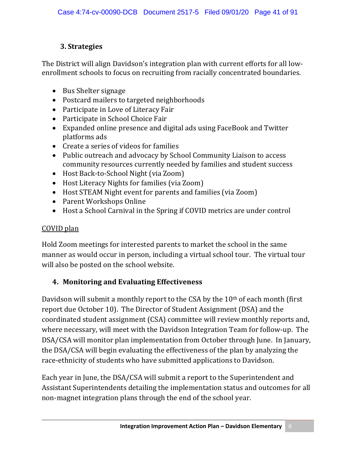# **3. Strategies**

The District will align Davidson's integration plan with current efforts for all lowenrollment schools to focus on recruiting from racially concentrated boundaries.

- Bus Shelter signage
- Postcard mailers to targeted neighborhoods
- Participate in Love of Literacy Fair
- Participate in School Choice Fair
- Expanded online presence and digital ads using FaceBook and Twitter platforms ads
- Create a series of videos for families
- Public outreach and advocacy by School Community Liaison to access community resources currently needed by families and student success
- Host Back-to-School Night (via Zoom)
- Host Literacy Nights for families (via Zoom)
- Host STEAM Night event for parents and families (via Zoom)
- Parent Workshops Online
- Host a School Carnival in the Spring if COVID metrics are under control

## COVID plan

Hold Zoom meetings for interested parents to market the school in the same manner as would occur in person, including a virtual school tour. The virtual tour will also be posted on the school website.

# **4. Monitoring and Evaluating Effectiveness**

Davidson will submit a monthly report to the CSA by the 10th of each month (first report due October 10). The Director of Student Assignment (DSA) and the coordinated student assignment (CSA) committee will review monthly reports and, where necessary, will meet with the Davidson Integration Team for follow-up. The DSA/CSA will monitor plan implementation from October through June. In January, the DSA/CSA will begin evaluating the effectiveness of the plan by analyzing the race-ethnicity of students who have submitted applications to Davidson.

Each year in June, the DSA/CSA will submit a report to the Superintendent and Assistant Superintendents detailing the implementation status and outcomes for all non-magnet integration plans through the end of the school year.